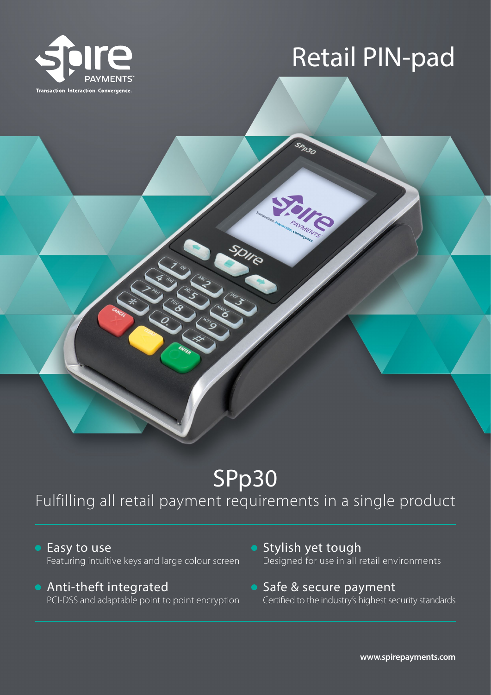

# Retail PIN-pad

SPR30

## SPp30

Olie

### Fulfilling all retail payment requirements in a single product

● Easy to use Featuring intuitive keys and large colour screen

#### Anti-theft integrated PCI-DSS and adaptable point to point encryption

- **Stylish yet tough** Designed for use in all retail environments
- Safe & secure payment Certified to the industry's highest security standards